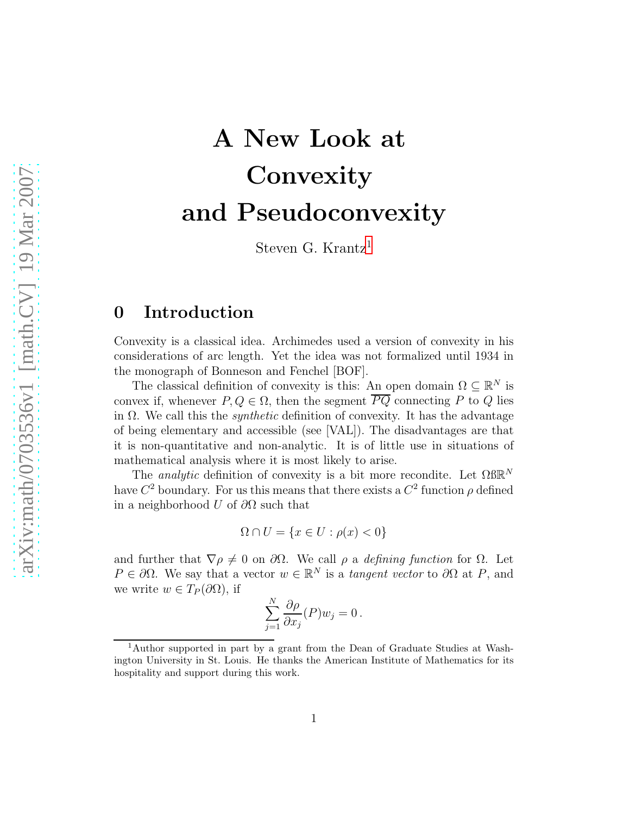# A New Look at **Convexity** and Pseudoconvexity

Steven G. Krantz<sup>[1](#page-0-0)</sup>

## 0 Introduction

Convexity is a classical idea. Archimedes used a version of convexity in his considerations of arc length. Yet the idea was not formalized until 1934 in the monograph of Bonneson and Fenchel [BOF].

The classical definition of convexity is this: An open domain  $\Omega \subseteq \mathbb{R}^N$  is convex if, whenever  $P, Q \in \Omega$ , then the segment  $\overline{PQ}$  connecting P to Q lies in  $\Omega$ . We call this the *synthetic* definition of convexity. It has the advantage of being elementary and accessible (see [VAL]). The disadvantages are that it is non-quantitative and non-analytic. It is of little use in situations of mathematical analysis where it is most likely to arise.

The *analytic* definition of convexity is a bit more recondite. Let  $\Omega$ BR<sup>N</sup> have  $C^2$  boundary. For us this means that there exists a  $C^2$  function  $\rho$  defined in a neighborhood U of  $\partial\Omega$  such that

$$
\Omega \cap U = \{ x \in U : \rho(x) < 0 \}
$$

and further that  $\nabla \rho \neq 0$  on  $\partial \Omega$ . We call  $\rho$  a defining function for  $\Omega$ . Let  $P \in \partial \Omega$ . We say that a vector  $w \in \mathbb{R}^N$  is a tangent vector to  $\partial \Omega$  at P, and we write  $w \in T_P(\partial\Omega)$ , if

$$
\sum_{j=1}^{N} \frac{\partial \rho}{\partial x_j}(P) w_j = 0.
$$

<span id="page-0-0"></span><sup>1</sup>Author supported in part by a grant from the Dean of Graduate Studies at Washington University in St. Louis. He thanks the American Institute of Mathematics for its hospitality and support during this work.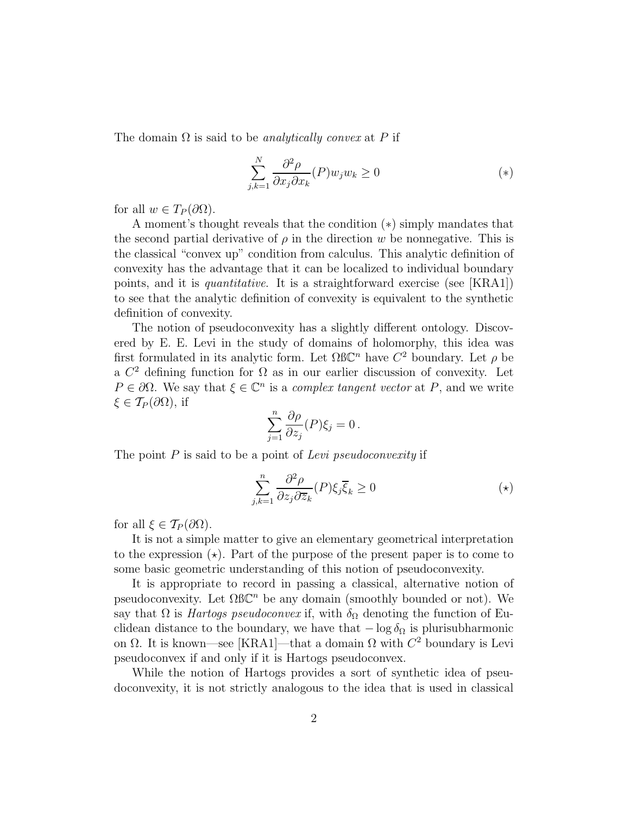The domain  $\Omega$  is said to be *analytically convex* at P if

$$
\sum_{j,k=1}^{N} \frac{\partial^2 \rho}{\partial x_j \partial x_k}(P) w_j w_k \ge 0
$$
\n<sup>(\*)</sup>

for all  $w \in T_P(\partial\Omega)$ .

A moment's thought reveals that the condition (∗) simply mandates that the second partial derivative of  $\rho$  in the direction w be nonnegative. This is the classical "convex up" condition from calculus. This analytic definition of convexity has the advantage that it can be localized to individual boundary points, and it is quantitative. It is a straightforward exercise (see [KRA1]) to see that the analytic definition of convexity is equivalent to the synthetic definition of convexity.

The notion of pseudoconvexity has a slightly different ontology. Discovered by E. E. Levi in the study of domains of holomorphy, this idea was first formulated in its analytic form. Let  $\Omega$ BC<sup>n</sup> have  $C^2$  boundary. Let  $\rho$  be a  $C<sup>2</sup>$  defining function for  $\Omega$  as in our earlier discussion of convexity. Let  $P \in \partial \Omega$ . We say that  $\xi \in \mathbb{C}^n$  is a complex tangent vector at P, and we write  $\xi \in \mathcal{T}_P(\partial\Omega)$ , if

$$
\sum_{j=1}^n \frac{\partial \rho}{\partial z_j}(P)\xi_j = 0.
$$

The point  $P$  is said to be a point of Levi pseudoconvexity if

$$
\sum_{j,k=1}^{n} \frac{\partial^2 \rho}{\partial z_j \partial \overline{z}_k} (P) \xi_j \overline{\xi}_k \ge 0
$$
 (\*)

for all  $\xi \in \mathcal{T}_P(\partial\Omega)$ .

It is not a simple matter to give an elementary geometrical interpretation to the expression  $(\star)$ . Part of the purpose of the present paper is to come to some basic geometric understanding of this notion of pseudoconvexity.

It is appropriate to record in passing a classical, alternative notion of pseudoconvexity. Let  $\Omega$ B $\mathbb{C}^n$  be any domain (smoothly bounded or not). We say that  $\Omega$  is *Hartogs pseudoconvex* if, with  $\delta_{\Omega}$  denoting the function of Euclidean distance to the boundary, we have that  $-\log \delta_{\Omega}$  is plurisubharmonic on  $\Omega$ . It is known—see [KRA1]—that a domain  $\Omega$  with  $C^2$  boundary is Levi pseudoconvex if and only if it is Hartogs pseudoconvex.

While the notion of Hartogs provides a sort of synthetic idea of pseudoconvexity, it is not strictly analogous to the idea that is used in classical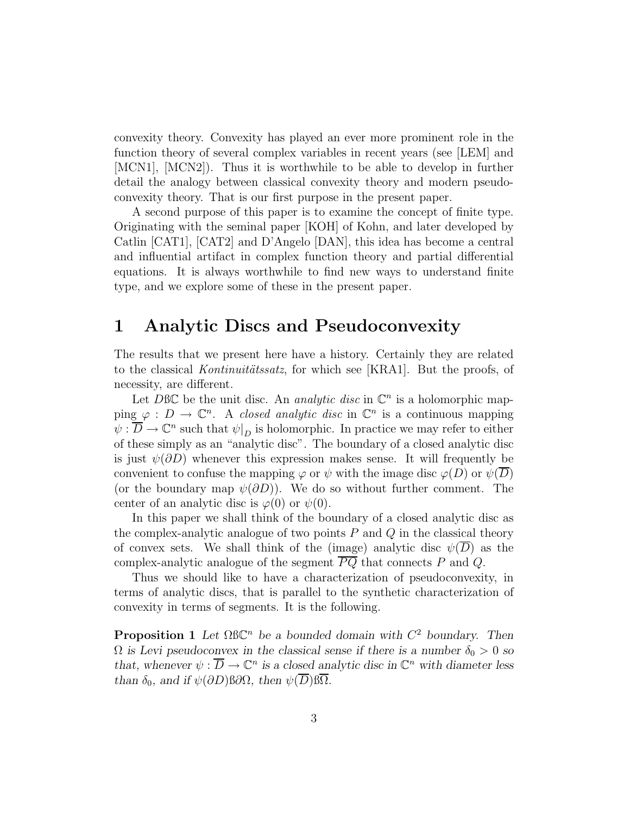convexity theory. Convexity has played an ever more prominent role in the function theory of several complex variables in recent years (see [LEM] and [MCN1], [MCN2]). Thus it is worthwhile to be able to develop in further detail the analogy between classical convexity theory and modern pseudoconvexity theory. That is our first purpose in the present paper.

A second purpose of this paper is to examine the concept of finite type. Originating with the seminal paper [KOH] of Kohn, and later developed by Catlin [CAT1], [CAT2] and D'Angelo [DAN], this idea has become a central and influential artifact in complex function theory and partial differential equations. It is always worthwhile to find new ways to understand finite type, and we explore some of these in the present paper.

## 1 Analytic Discs and Pseudoconvexity

The results that we present here have a history. Certainly they are related to the classical *Kontinuitätssatz*, for which see [KRA1]. But the proofs, of necessity, are different.

Let DBC be the unit disc. An *analytic disc* in  $\mathbb{C}^n$  is a holomorphic mapping  $\varphi : D \to \mathbb{C}^n$ . A closed analytic disc in  $\mathbb{C}^n$  is a continuous mapping  $\psi : \overline{D} \to \mathbb{C}^n$  such that  $\psi|_{D}$  is holomorphic. In practice we may refer to either of these simply as an "analytic disc". The boundary of a closed analytic disc is just  $\psi(\partial D)$  whenever this expression makes sense. It will frequently be convenient to confuse the mapping  $\varphi$  or  $\psi$  with the image disc  $\varphi(D)$  or  $\psi(D)$ (or the boundary map  $\psi(\partial D)$ ). We do so without further comment. The center of an analytic disc is  $\varphi(0)$  or  $\psi(0)$ .

In this paper we shall think of the boundary of a closed analytic disc as the complex-analytic analogue of two points  $P$  and  $Q$  in the classical theory of convex sets. We shall think of the (image) analytic disc  $\psi(\overline{D})$  as the complex-analytic analogue of the segment  $\overline{PQ}$  that connects P and Q.

Thus we should like to have a characterization of pseudoconvexity, in terms of analytic discs, that is parallel to the synthetic characterization of convexity in terms of segments. It is the following.

**Proposition 1** Let  $\Omega$ BC<sup>*n*</sup> be a bounded domain with  $C^2$  boundary. Then  $\Omega$  *is Levi pseudoconvex in the classical sense if there is a number*  $\delta_0 > 0$  *so that, whenever*  $\psi : \overline{D} \to \mathbb{C}^n$  *is a closed analytic disc in*  $\mathbb{C}^n$  *with diameter less than*  $\delta_0$ *, and if*  $\psi(\partial D)$  $\beta \partial \Omega$ *, then*  $\psi(\overline{D}) \beta \overline{\Omega}$ *.*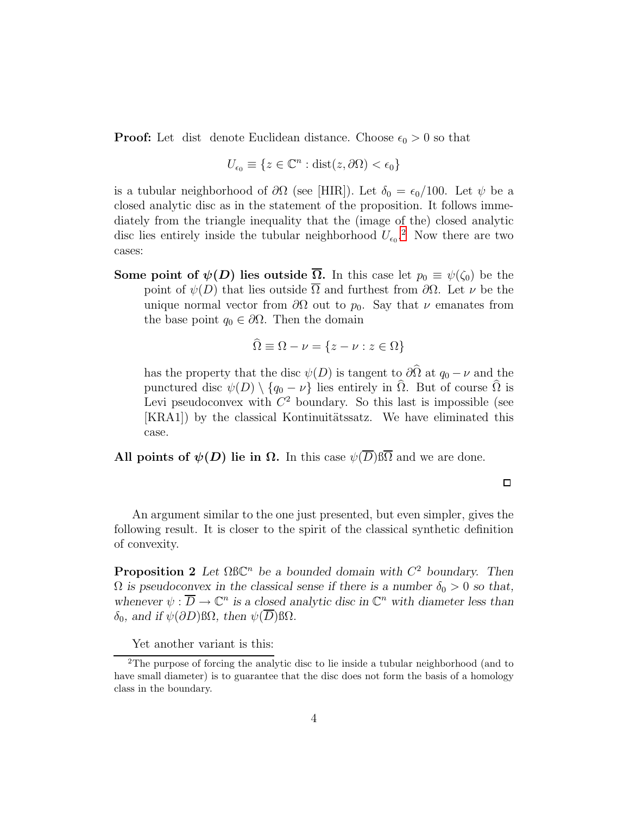**Proof:** Let dist denote Euclidean distance. Choose  $\epsilon_0 > 0$  so that

$$
U_{\epsilon_0} \equiv \{ z \in \mathbb{C}^n : \text{dist}(z, \partial \Omega) < \epsilon_0 \}
$$

is a tubular neighborhood of  $\partial\Omega$  (see [HIR]). Let  $\delta_0 = \epsilon_0/100$ . Let  $\psi$  be a closed analytic disc as in the statement of the proposition. It follows immediately from the triangle inequality that the (image of the) closed analytic disc lies entirely inside the tubular neighborhood  $U_{\epsilon_0}$ <sup>[2](#page-3-0)</sup>. Now there are two cases:

Some point of  $\psi(D)$  lies outside  $\overline{\Omega}$ . In this case let  $p_0 \equiv \psi(\zeta_0)$  be the point of  $\psi(D)$  that lies outside  $\overline{\Omega}$  and furthest from  $\partial\Omega$ . Let  $\nu$  be the unique normal vector from  $\partial\Omega$  out to  $p_0$ . Say that  $\nu$  emanates from the base point  $q_0 \in \partial \Omega$ . Then the domain

$$
\Omega \equiv \Omega - \nu = \{ z - \nu : z \in \Omega \}
$$

has the property that the disc  $\psi(D)$  is tangent to  $\partial\hat{\Omega}$  at  $q_0 - \nu$  and the punctured disc  $\psi(D) \setminus \{q_0 - \nu\}$  lies entirely in  $\hat{\Omega}$ . But of course  $\hat{\Omega}$  is Levi pseudoconvex with  $C^2$  boundary. So this last is impossible (see [KRA1]) by the classical Kontinuitätssatz. We have eliminated this case.

All points of  $\psi(D)$  lie in  $\Omega$ . In this case  $\psi(\overline{D})\beta\overline{\Omega}$  and we are done.

 $\Box$ 

An argument similar to the one just presented, but even simpler, gives the following result. It is closer to the spirit of the classical synthetic definition of convexity.

**Proposition 2** Let  $\Omega$ BC<sup>n</sup> be a bounded domain with  $C^2$  boundary. Then  $\Omega$  *is pseudoconvex in the classical sense if there is a number*  $\delta_0 > 0$  *so that,* whenever  $\psi : \overline{D} \to \mathbb{C}^n$  is a closed analytic disc in  $\mathbb{C}^n$  with diameter less than  $\delta_0$ *, and if*  $\psi(\partial D)$  βΩ*, then*  $\psi(\overline{D})$  βΩ*.* 

Yet another variant is this:

<span id="page-3-0"></span><sup>&</sup>lt;sup>2</sup>The purpose of forcing the analytic disc to lie inside a tubular neighborhood (and to have small diameter) is to guarantee that the disc does not form the basis of a homology class in the boundary.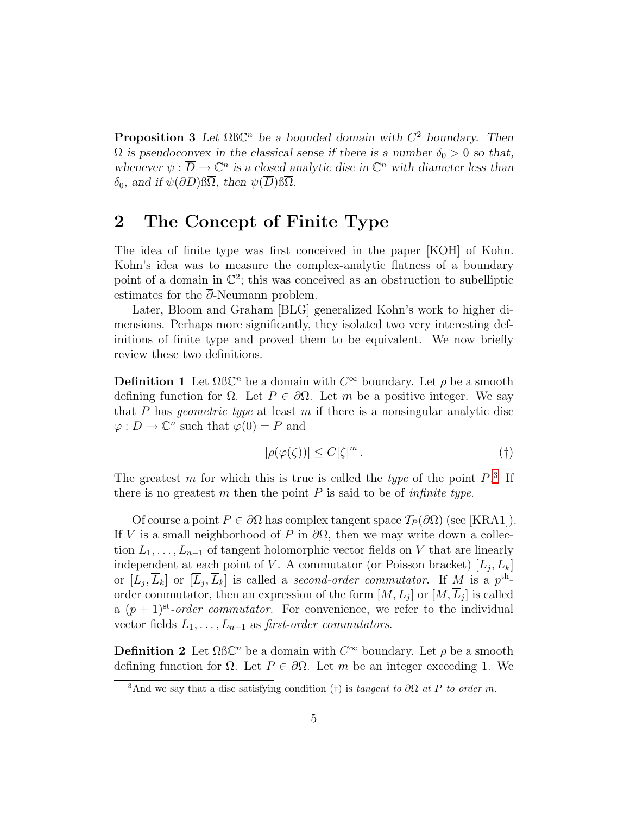**Proposition 3** Let  $\Omega$ BC<sup>*n*</sup> be a bounded domain with  $C^2$  boundary. Then  $\Omega$  *is pseudoconvex in the classical sense if there is a number*  $\delta_0 > 0$  *so that,* whenever  $\psi : \overline{D} \to \mathbb{C}^n$  is a closed analytic disc in  $\mathbb{C}^n$  with diameter less than  $\delta_0$ *, and if*  $\psi(\partial D)$   $\overline{\Omega}$ *, then*  $\psi(\overline{D})$   $\overline{\Omega}$ *.* 

# 2 The Concept of Finite Type

The idea of finite type was first conceived in the paper [KOH] of Kohn. Kohn's idea was to measure the complex-analytic flatness of a boundary point of a domain in  $\mathbb{C}^2$ ; this was conceived as an obstruction to subelliptic estimates for the  $\overline{\partial}$ -Neumann problem.

Later, Bloom and Graham [BLG] generalized Kohn's work to higher dimensions. Perhaps more significantly, they isolated two very interesting definitions of finite type and proved them to be equivalent. We now briefly review these two definitions.

**Definition 1** Let  $\Omega$ BC<sup>n</sup> be a domain with  $C^{\infty}$  boundary. Let  $\rho$  be a smooth defining function for  $\Omega$ . Let  $P \in \partial \Omega$ . Let m be a positive integer. We say that P has *geometric type* at least  $m$  if there is a nonsingular analytic disc  $\varphi: D \to \mathbb{C}^n$  such that  $\varphi(0) = P$  and

$$
|\rho(\varphi(\zeta))| \le C|\zeta|^m. \tag{†}
$$

The greatest m for which this is true is called the *type* of the point  $P^3$  $P^3$ . If there is no greatest  $m$  then the point  $P$  is said to be of *infinite type*.

Of course a point  $P \in \partial\Omega$  has complex tangent space  $\mathcal{T}_P(\partial\Omega)$  (see [KRA1]). If V is a small neighborhood of P in  $\partial\Omega$ , then we may write down a collection  $L_1, \ldots, L_{n-1}$  of tangent holomorphic vector fields on V that are linearly independent at each point of V. A commutator (or Poisson bracket)  $[L_j, L_k]$ or  $[L_j, \overline{L}_k]$  or  $[\overline{L}_j, \overline{L}_k]$  is called a second-order commutator. If M is a p<sup>th</sup>order commutator, then an expression of the form  $[M, L_j]$  or  $[M, L_j]$  is called a  $(p+1)^{st}$ -order commutator. For convenience, we refer to the individual vector fields  $L_1, \ldots, L_{n-1}$  as first-order commutators.

**Definition 2** Let  $\Omega$ BC<sup>n</sup> be a domain with  $C^{\infty}$  boundary. Let  $\rho$  be a smooth defining function for  $\Omega$ . Let  $P \in \partial \Omega$ . Let m be an integer exceeding 1. We

<span id="page-4-0"></span><sup>&</sup>lt;sup>3</sup>And we say that a disc satisfying condition (†) is tangent to  $\partial\Omega$  at P to order m.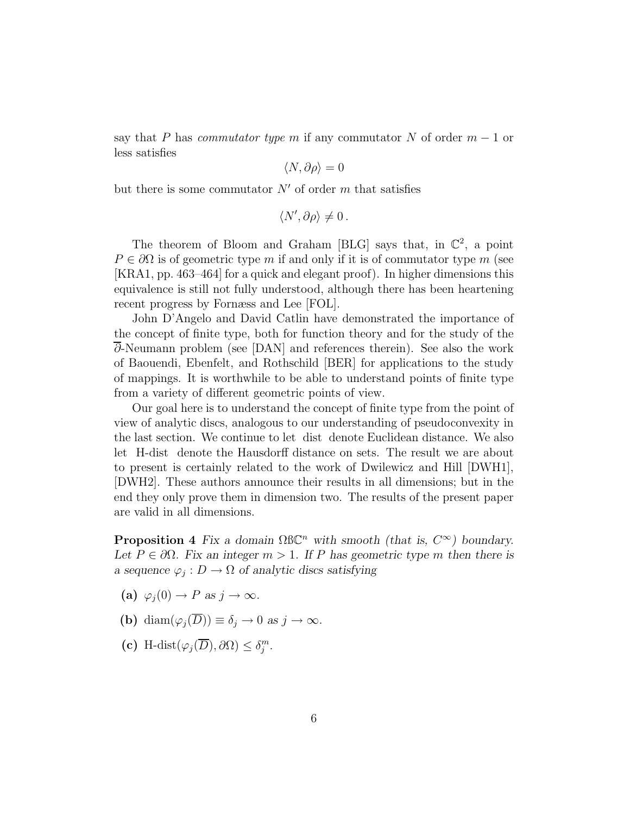say that P has *commutator type m* if any commutator N of order  $m-1$  or less satisfies

$$
\langle N,\partial\rho\rangle=0
$$

but there is some commutator  $N'$  of order  $m$  that satisfies

$$
\langle N', \partial \rho \rangle \neq 0.
$$

The theorem of Bloom and Graham [BLG] says that, in  $\mathbb{C}^2$ , a point  $P \in \partial\Omega$  is of geometric type m if and only if it is of commutator type m (see [KRA1, pp. 463–464] for a quick and elegant proof). In higher dimensions this equivalence is still not fully understood, although there has been heartening recent progress by Fornæss and Lee [FOL].

John D'Angelo and David Catlin have demonstrated the importance of the concept of finite type, both for function theory and for the study of the ∂-Neumann problem (see [DAN] and references therein). See also the work of Baouendi, Ebenfelt, and Rothschild [BER] for applications to the study of mappings. It is worthwhile to be able to understand points of finite type from a variety of different geometric points of view.

Our goal here is to understand the concept of finite type from the point of view of analytic discs, analogous to our understanding of pseudoconvexity in the last section. We continue to let dist denote Euclidean distance. We also let H-dist denote the Hausdorff distance on sets. The result we are about to present is certainly related to the work of Dwilewicz and Hill [DWH1], [DWH2]. These authors announce their results in all dimensions; but in the end they only prove them in dimension two. The results of the present paper are valid in all dimensions.

**Proposition 4** *Fix a domain*  $\Omega$ BC<sup>*n*</sup> *with smooth (that is,*  $C^{\infty}$ ) *boundary.* Let  $P \in \partial \Omega$ . Fix an integer  $m > 1$ . If P has geometric type m then there is *a* sequence  $\varphi_j: D \to \Omega$  *of analytic discs satisfying* 

- (a)  $\varphi_i(0) \to P$  *as*  $j \to \infty$ *.*
- (b) diam $(\varphi_i(\overline{D})) \equiv \delta_i \to 0 \text{ as } j \to \infty$ .
- (c) H-dist $(\varphi_j(\overline{D}), \partial \Omega) \leq \delta_j^m$ .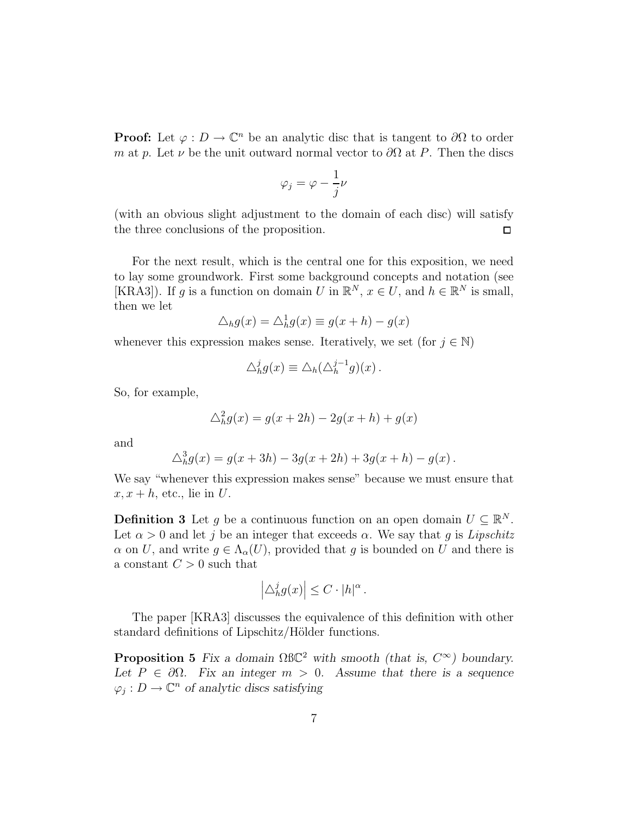**Proof:** Let  $\varphi : D \to \mathbb{C}^n$  be an analytic disc that is tangent to  $\partial\Omega$  to order m at p. Let  $\nu$  be the unit outward normal vector to  $\partial\Omega$  at P. Then the discs

$$
\varphi_j = \varphi - \frac{1}{j}\nu
$$

(with an obvious slight adjustment to the domain of each disc) will satisfy the three conclusions of the proposition.  $\Box$ 

For the next result, which is the central one for this exposition, we need to lay some groundwork. First some background concepts and notation (see [KRA3]). If g is a function on domain U in  $\mathbb{R}^N$ ,  $x \in U$ , and  $h \in \mathbb{R}^N$  is small, then we let

$$
\triangle_h g(x) = \triangle_h^1 g(x) \equiv g(x+h) - g(x)
$$

whenever this expression makes sense. Iteratively, we set (for  $j \in \mathbb{N}$ )

$$
\Delta_h^j g(x) \equiv \Delta_h(\Delta_h^{j-1} g)(x) .
$$

So, for example,

$$
\triangle_h^2 g(x) = g(x+2h) - 2g(x+h) + g(x)
$$

and

$$
\Delta_h^3 g(x) = g(x + 3h) - 3g(x + 2h) + 3g(x + h) - g(x).
$$

We say "whenever this expression makes sense" because we must ensure that  $x, x + h$ , etc., lie in U.

**Definition 3** Let g be a continuous function on an open domain  $U \subseteq \mathbb{R}^N$ . Let  $\alpha > 0$  and let j be an integer that exceeds  $\alpha$ . We say that g is Lipschitz  $\alpha$  on U, and write  $g \in \Lambda_{\alpha}(U)$ , provided that g is bounded on U and there is a constant  $C > 0$  such that

$$
\left|\triangle_{h}^{j}g(x)\right| \leq C \cdot |h|^{\alpha}.
$$

The paper [KRA3] discusses the equivalence of this definition with other standard definitions of Lipschitz/Hölder functions.

**Proposition 5** *Fix a domain*  $\Omega BC^2$  *with smooth (that is,*  $C^{\infty}$ ) *boundary. Let*  $P \in \partial \Omega$ *. Fix an integer*  $m > 0$ *. Assume that there is a sequence*  $\varphi_j: D \to \mathbb{C}^n$  of analytic discs satisfying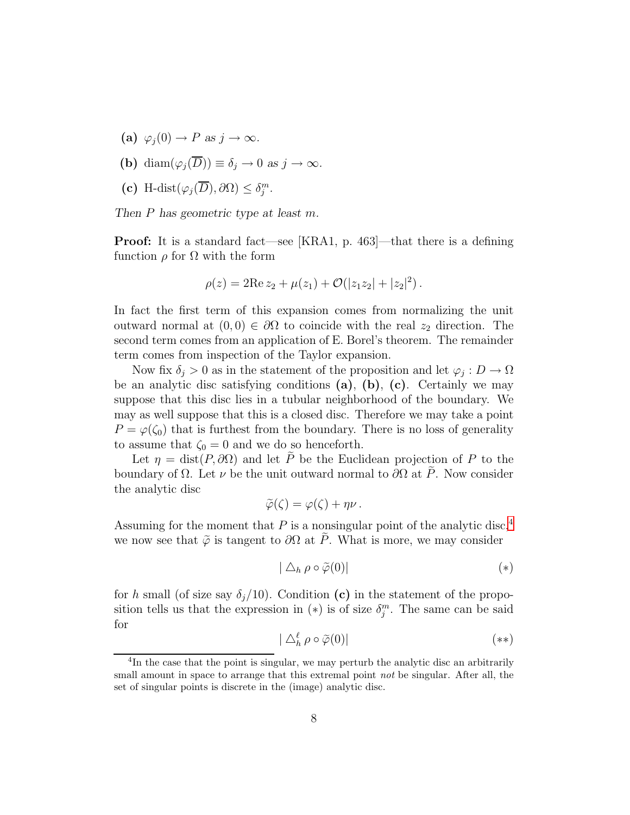- (a)  $\varphi_i(0) \to P$  *as*  $j \to \infty$ *.*
- (b) diam $(\varphi_i(\overline{D})) \equiv \delta_i \to 0$  *as*  $j \to \infty$ *.*
- (c) H-dist $(\varphi_j(\overline{D}), \partial \Omega) \leq \delta_j^m$ .

*Then* P *has geometric type at least* m*.*

Proof: It is a standard fact—see [KRA1, p. 463]—that there is a defining function  $\rho$  for  $\Omega$  with the form

$$
\rho(z) = 2\text{Re}\, z_2 + \mu(z_1) + \mathcal{O}(|z_1 z_2| + |z_2|^2).
$$

In fact the first term of this expansion comes from normalizing the unit outward normal at  $(0, 0) \in \partial\Omega$  to coincide with the real  $z_2$  direction. The second term comes from an application of E. Borel's theorem. The remainder term comes from inspection of the Taylor expansion.

Now fix  $\delta_j > 0$  as in the statement of the proposition and let  $\varphi_j : D \to \Omega$ be an analytic disc satisfying conditions  $(a)$ ,  $(b)$ ,  $(c)$ . Certainly we may suppose that this disc lies in a tubular neighborhood of the boundary. We may as well suppose that this is a closed disc. Therefore we may take a point  $P = \varphi(\zeta_0)$  that is furthest from the boundary. There is no loss of generality to assume that  $\zeta_0 = 0$  and we do so henceforth.

Let  $\eta = \text{dist}(P, \partial \Omega)$  and let  $\tilde{P}$  be the Euclidean projection of P to the boundary of  $\Omega$ . Let  $\nu$  be the unit outward normal to  $\partial\Omega$  at  $\tilde{P}$ . Now consider the analytic disc

$$
\widetilde{\varphi}(\zeta)=\varphi(\zeta)+\eta\nu.
$$

Assuming for the moment that  $P$  is a nonsingular point of the analytic disc,<sup>[4](#page-7-0)</sup> we now see that  $\tilde{\varphi}$  is tangent to  $\partial\Omega$  at  $\tilde{P}$ . What is more, we may consider

$$
|\bigtriangleup_h \rho \circ \widetilde{\varphi}(0)| \tag{*}
$$

for h small (of size say  $\delta_j/10$ ). Condition (c) in the statement of the proposition tells us that the expression in  $(*)$  is of size  $\delta_j^m$ . The same can be said for

$$
|\bigtriangleup_h^{\ell} \rho \circ \widetilde{\varphi}(0)| \tag{**}
$$

<span id="page-7-0"></span><sup>&</sup>lt;sup>4</sup>In the case that the point is singular, we may perturb the analytic disc an arbitrarily small amount in space to arrange that this extremal point *not* be singular. After all, the set of singular points is discrete in the (image) analytic disc.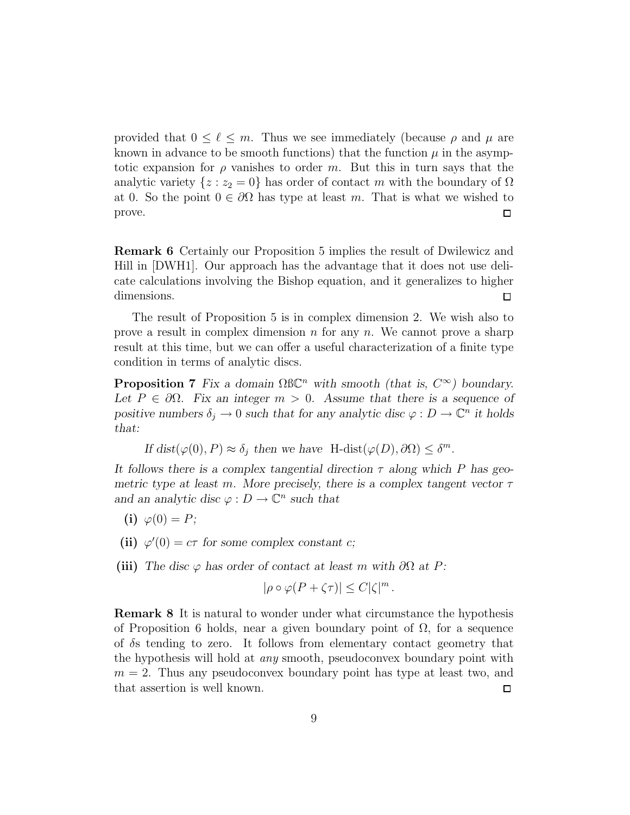provided that  $0 \leq \ell \leq m$ . Thus we see immediately (because  $\rho$  and  $\mu$  are known in advance to be smooth functions) that the function  $\mu$  in the asymptotic expansion for  $\rho$  vanishes to order m. But this in turn says that the analytic variety  $\{z : z_2 = 0\}$  has order of contact m with the boundary of  $\Omega$ at 0. So the point  $0 \in \partial\Omega$  has type at least m. That is what we wished to prove.  $\Box$ 

Remark 6 Certainly our Proposition 5 implies the result of Dwilewicz and Hill in [DWH1]. Our approach has the advantage that it does not use delicate calculations involving the Bishop equation, and it generalizes to higher dimensions.  $\Box$ 

The result of Proposition 5 is in complex dimension 2. We wish also to prove a result in complex dimension  $n$  for any  $n$ . We cannot prove a sharp result at this time, but we can offer a useful characterization of a finite type condition in terms of analytic discs.

**Proposition 7** Fix a domain  $\Omega$ BC<sup>n</sup> with smooth (that is,  $C^{\infty}$ ) boundary. Let  $P \in \partial \Omega$ . Fix an integer  $m > 0$ . Assume that there is a sequence of *positive numbers*  $\delta_j \to 0$  *such that for any analytic disc*  $\varphi : D \to \mathbb{C}^n$  *it holds that:*

If 
$$
dist(\varphi(0), P) \approx \delta_j
$$
 then we have  $H$ -dist $(\varphi(D), \partial \Omega) \leq \delta^m$ .

*It follows there is a complex tangential direction* τ *along which* P *has geometric type at least* m*. More precisely, there is a complex tangent vector* τ *and an analytic disc*  $\varphi : D \to \mathbb{C}^n$  *such that* 

- (i)  $\varphi(0) = P$ ;
- (ii)  $\varphi'(0) = c\tau$  for some complex constant *c*;
- (iii) The disc  $\varphi$  has order of contact at least m with  $\partial\Omega$  at P:

$$
|\rho \circ \varphi(P + \zeta \tau)| \le C |\zeta|^m.
$$

Remark 8 It is natural to wonder under what circumstance the hypothesis of Proposition 6 holds, near a given boundary point of  $\Omega$ , for a sequence of δs tending to zero. It follows from elementary contact geometry that the hypothesis will hold at any smooth, pseudoconvex boundary point with  $m = 2$ . Thus any pseudoconvex boundary point has type at least two, and that assertion is well known.  $\Box$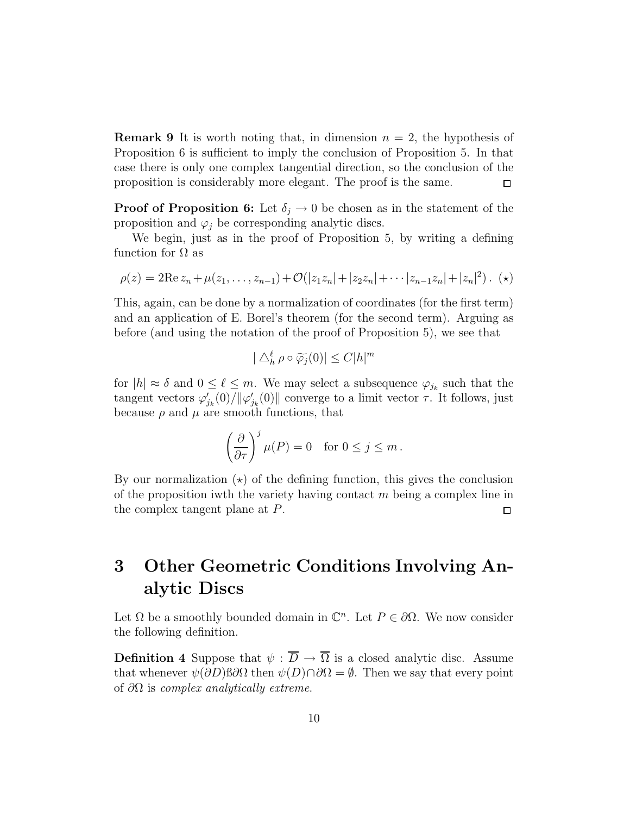**Remark 9** It is worth noting that, in dimension  $n = 2$ , the hypothesis of Proposition 6 is sufficient to imply the conclusion of Proposition 5. In that case there is only one complex tangential direction, so the conclusion of the proposition is considerably more elegant. The proof is the same.  $\Box$ 

**Proof of Proposition 6:** Let  $\delta_i \to 0$  be chosen as in the statement of the proposition and  $\varphi_i$  be corresponding analytic discs.

We begin, just as in the proof of Proposition 5, by writing a defining function for  $\Omega$  as

$$
\rho(z) = 2\mathrm{Re}\, z_n + \mu(z_1, \ldots, z_{n-1}) + \mathcal{O}(|z_1 z_n| + |z_2 z_n| + \cdots + |z_{n-1} z_n| + |z_n|^2). \quad (*)
$$

This, again, can be done by a normalization of coordinates (for the first term) and an application of E. Borel's theorem (for the second term). Arguing as before (and using the notation of the proof of Proposition 5), we see that

$$
|\bigtriangleup_h^{\ell} \rho \circ \widetilde{\varphi_j}(0)| \le C|h|^m
$$

for  $|h| \approx \delta$  and  $0 \leq \ell \leq m$ . We may select a subsequence  $\varphi_{j_k}$  such that the tangent vectors  $\varphi'_{j_k}(0)/\|\varphi'_{j_k}(0)\|$  converge to a limit vector  $\tau$ . It follows, just because  $\rho$  and  $\mu$  are smooth functions, that

$$
\left(\frac{\partial}{\partial \tau}\right)^j \mu(P) = 0 \quad \text{for } 0 \le j \le m.
$$

By our normalization  $(\star)$  of the defining function, this gives the conclusion of the proposition iwth the variety having contact  $m$  being a complex line in the complex tangent plane at P.  $\Box$ 

# 3 Other Geometric Conditions Involving Analytic Discs

Let  $\Omega$  be a smoothly bounded domain in  $\mathbb{C}^n$ . Let  $P \in \partial \Omega$ . We now consider the following definition.

**Definition 4** Suppose that  $\psi : \overline{D} \to \overline{\Omega}$  is a closed analytic disc. Assume that whenever  $\psi(\partial D)$  so  $\Omega$  then  $\psi(D) \cap \partial \Omega = \emptyset$ . Then we say that every point of  $\partial\Omega$  is *complex analytically extreme.*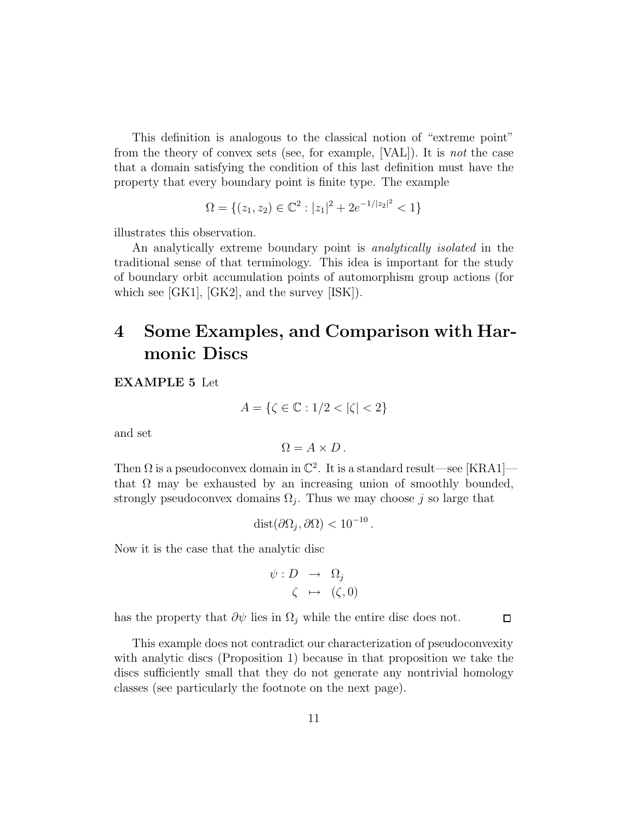This definition is analogous to the classical notion of "extreme point" from the theory of convex sets (see, for example, [VAL]). It is not the case that a domain satisfying the condition of this last definition must have the property that every boundary point is finite type. The example

$$
\Omega = \{(z_1, z_2) \in \mathbb{C}^2 : |z_1|^2 + 2e^{-1/|z_2|^2} < 1\}
$$

illustrates this observation.

An analytically extreme boundary point is *analytically isolated* in the traditional sense of that terminology. This idea is important for the study of boundary orbit accumulation points of automorphism group actions (for which see [GK1], [GK2], and the survey [ISK]).

# 4 Some Examples, and Comparison with Harmonic Discs

EXAMPLE 5 Let

$$
A = \{ \zeta \in \mathbb{C} : 1/2 < |\zeta| < 2 \}
$$

and set

$$
\Omega = A \times D \, .
$$

Then  $\Omega$  is a pseudoconvex domain in  $\mathbb{C}^2$ . It is a standard result—see [KRA1] that  $\Omega$  may be exhausted by an increasing union of smoothly bounded, strongly pseudoconvex domains  $\Omega_j$ . Thus we may choose j so large that

$$
dist(\partial\Omega_j, \partial\Omega) < 10^{-10}.
$$

Now it is the case that the analytic disc

$$
\psi: D \rightarrow \Omega_j
$$
  

$$
\zeta \mapsto (\zeta, 0)
$$

 $\Box$ 

has the property that  $\partial \psi$  lies in  $\Omega_i$ , while the entire disc does not.

This example does not contradict our characterization of pseudoconvexity with analytic discs (Proposition 1) because in that proposition we take the discs sufficiently small that they do not generate any nontrivial homology classes (see particularly the footnote on the next page).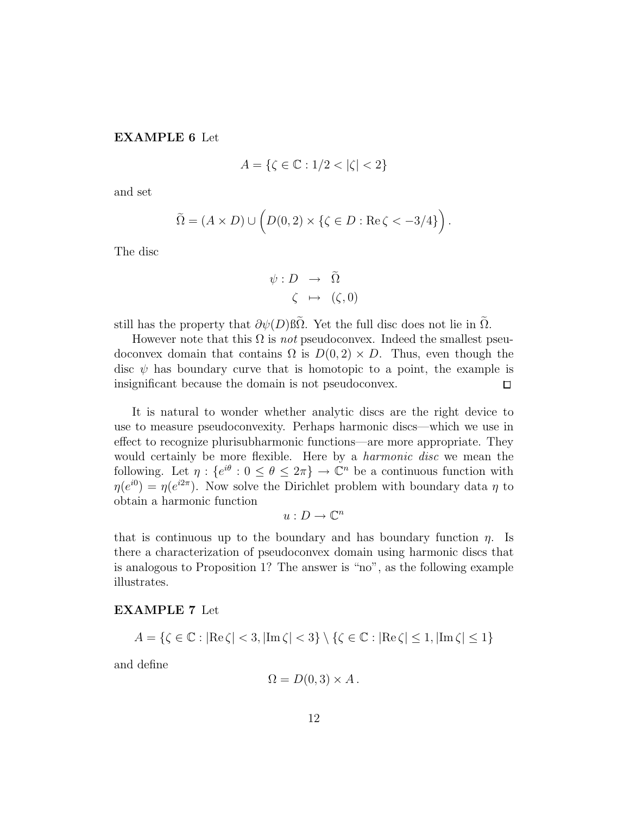#### EXAMPLE 6 Let

$$
A = \{ \zeta \in \mathbb{C} : 1/2 < |\zeta| < 2 \}
$$

and set

$$
\widetilde{\Omega} = (A \times D) \cup \left( D(0,2) \times \{ \zeta \in D : \text{Re}\,\zeta < -3/4 \} \right).
$$

The disc

$$
\psi: D \rightarrow \Omega
$$
  

$$
\zeta \mapsto (\zeta, 0)
$$

still has the property that  $\partial \psi(D)$  βΩ. Yet the full disc does not lie in  $\Omega$ .

However note that this  $\Omega$  is *not* pseudoconvex. Indeed the smallest pseudoconvex domain that contains  $\Omega$  is  $D(0, 2) \times D$ . Thus, even though the disc  $\psi$  has boundary curve that is homotopic to a point, the example is insignificant because the domain is not pseudoconvex.  $\Box$ 

It is natural to wonder whether analytic discs are the right device to use to measure pseudoconvexity. Perhaps harmonic discs—which we use in effect to recognize plurisubharmonic functions—are more appropriate. They would certainly be more flexible. Here by a harmonic disc we mean the following. Let  $\eta: \{e^{i\theta}: 0 \leq \theta \leq 2\pi\} \to \mathbb{C}^n$  be a continuous function with  $\eta(e^{i0}) = \eta(e^{i2\pi})$ . Now solve the Dirichlet problem with boundary data  $\eta$  to obtain a harmonic function

$$
u:D\to\mathbb{C}^n
$$

that is continuous up to the boundary and has boundary function  $\eta$ . Is there a characterization of pseudoconvex domain using harmonic discs that is analogous to Proposition 1? The answer is "no", as the following example illustrates.

#### EXAMPLE 7 Let

$$
A = \{ \zeta \in \mathbb{C} : |\text{Re}\,\zeta| < 3, |\text{Im}\,\zeta| < 3 \} \setminus \{ \zeta \in \mathbb{C} : |\text{Re}\,\zeta| \le 1, |\text{Im}\,\zeta| \le 1 \}
$$

and define

$$
\Omega = D(0,3) \times A.
$$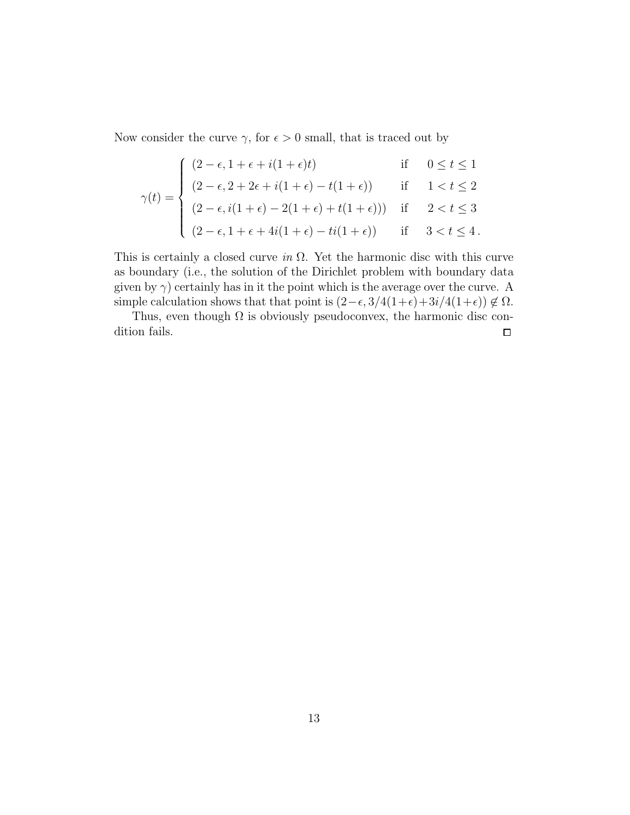Now consider the curve  $\gamma$ , for  $\epsilon > 0$  small, that is traced out by

$$
\gamma(t) = \begin{cases}\n(2 - \epsilon, 1 + \epsilon + i(1 + \epsilon)t) & \text{if } 0 \le t \le 1 \\
(2 - \epsilon, 2 + 2\epsilon + i(1 + \epsilon) - t(1 + \epsilon)) & \text{if } 1 < t \le 2 \\
(2 - \epsilon, i(1 + \epsilon) - 2(1 + \epsilon) + t(1 + \epsilon))) & \text{if } 2 < t \le 3 \\
(2 - \epsilon, 1 + \epsilon + 4i(1 + \epsilon) - ti(1 + \epsilon)) & \text{if } 3 < t \le 4\n\end{cases}
$$

This is certainly a closed curve in  $\Omega$ . Yet the harmonic disc with this curve as boundary (i.e., the solution of the Dirichlet problem with boundary data given by  $\gamma$ ) certainly has in it the point which is the average over the curve. A simple calculation shows that that point is  $(2-\epsilon, 3/4(1+\epsilon)+3i/4(1+\epsilon)) \notin \Omega$ .

Thus, even though  $\Omega$  is obviously pseudoconvex, the harmonic disc condition fails.  $\Box$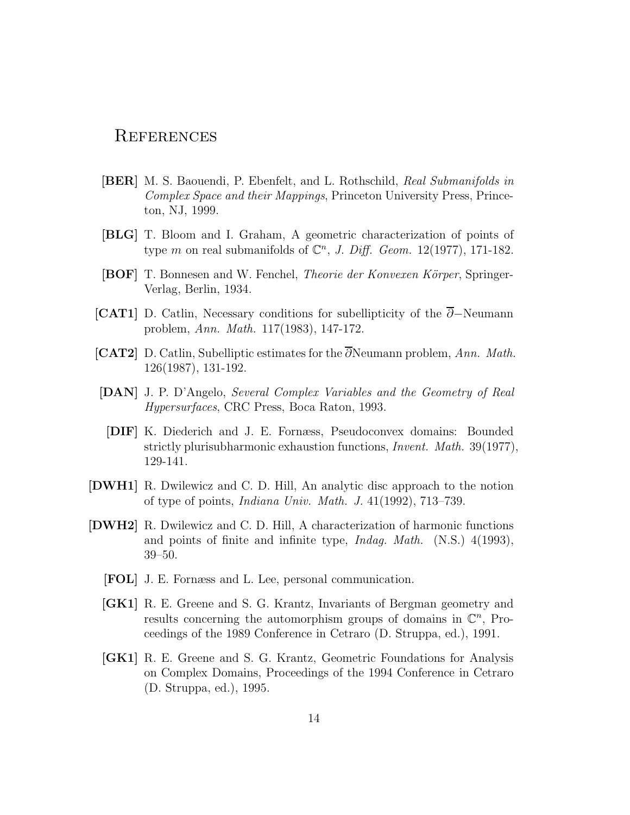# **REFERENCES**

- [BER] M. S. Baouendi, P. Ebenfelt, and L. Rothschild, Real Submanifolds in Complex Space and their Mappings, Princeton University Press, Princeton, NJ, 1999.
- [BLG] T. Bloom and I. Graham, A geometric characterization of points of type m on real submanifolds of  $\mathbb{C}^n$ , J. Diff. Geom. 12(1977), 171-182.
- [BOF] T. Bonnesen and W. Fenchel, *Theorie der Konvexen Körper*, Springer-Verlag, Berlin, 1934.
- [CAT1] D. Catlin, Necessary conditions for subellipticity of the ∂−Neumann problem, Ann. Math. 117(1983), 147-172.
- [CAT2] D. Catlin, Subelliptic estimates for the ∂Neumann problem, Ann. Math. 126(1987), 131-192.
- [DAN] J. P. D'Angelo, Several Complex Variables and the Geometry of Real Hypersurfaces, CRC Press, Boca Raton, 1993.
	- [DIF] K. Diederich and J. E. Fornæss, Pseudoconvex domains: Bounded strictly plurisubharmonic exhaustion functions, Invent. Math. 39(1977), 129-141.
- [DWH1] R. Dwilewicz and C. D. Hill, An analytic disc approach to the notion of type of points, Indiana Univ. Math. J. 41(1992), 713–739.
- [DWH2] R. Dwilewicz and C. D. Hill, A characterization of harmonic functions and points of finite and infinite type, Indag. Math. (N.S.) 4(1993), 39–50.
	- [FOL] J. E. Fornæss and L. Lee, personal communication.
	- [GK1] R. E. Greene and S. G. Krantz, Invariants of Bergman geometry and results concerning the automorphism groups of domains in  $\mathbb{C}^n$ , Proceedings of the 1989 Conference in Cetraro (D. Struppa, ed.), 1991.
	- [GK1] R. E. Greene and S. G. Krantz, Geometric Foundations for Analysis on Complex Domains, Proceedings of the 1994 Conference in Cetraro (D. Struppa, ed.), 1995.